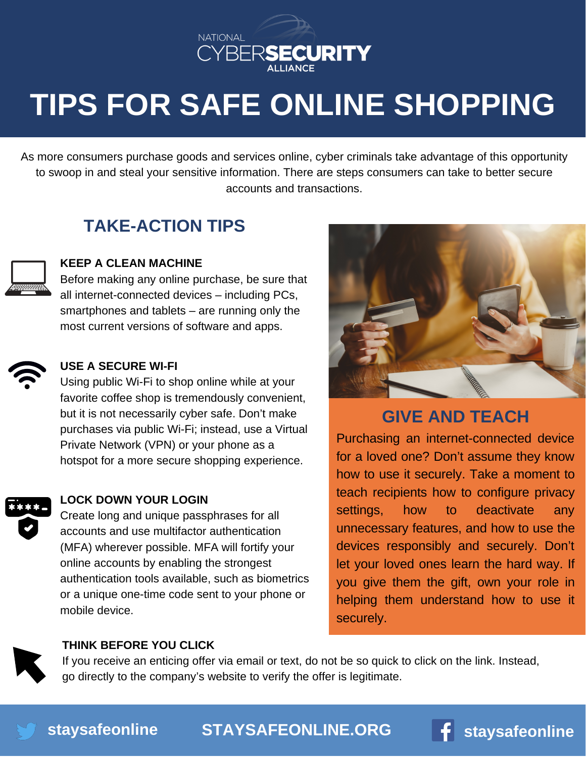

# **TIPS FOR SAFE ONLINE SHOPPING**

As more consumers purchase goods and services online, cyber criminals take advantage of this opportunity to swoop in and steal your sensitive information. There are steps consumers can take to better secure accounts and transactions.

## **TAKE-ACTION TIPS**



### **KEEP A CLEAN MACHINE**

Before making any online purchase, be sure that all internet-connected devices – including PCs, smartphones and tablets  $-$  are running only the most current versions of software and apps.

#### **USE A SECURE WI-FI**

Using public Wi-Fi to shop online while at your favorite coffee shop is tremendously convenient, but it is not necessarily cyber safe. Don't make purchases via public Wi-Fi; instead, use a Virtual Private Network (VPN) or your phone as a hotspot for a more secure shopping experience.



### **LOCK DOWN YOUR LOGIN**

Create long and unique passphrases for all accounts and use multifactor authentication (MFA) wherever possible. MFA will fortify your online accounts by enabling the strongest authentication tools available, such as biometrics or a unique one-time code sent to your phone or mobile device.



## **GIVE AND TEACH**

Purchasing an [internet-connected](https://www.irs.gov/newsroom/dirty-dozen) device for a loved one? Don't assume they know how to use it securely. Take a moment to teach recipients how to configure privacy settings, how to deactivate any unnecessary features, and how to use the devices responsibly and securely. Don't let your loved ones learn the hard way. If you give them the gift, own your role in helping them understand how to use it securely.

#### **THINK BEFORE YOU CLICK**

If you receive an enticing offer via email or text, do not be so quick to click on the link. Instead, go directly to the company's website to verify the offer is legitimate.



**[STAYSAFEONLINE.ORG](http://staysafeonline.org/) [staysafeonline](http://facebook.com/staysafeonline)**